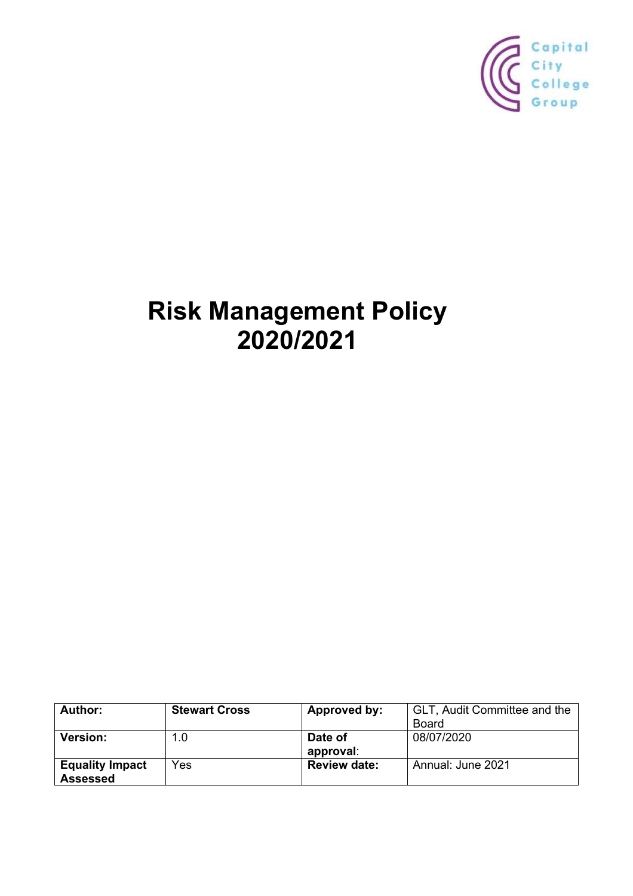

# **Risk Management Policy 2020/2021**

| <b>Author:</b>         | <b>Stewart Cross</b> | Approved by:        | GLT, Audit Committee and the |
|------------------------|----------------------|---------------------|------------------------------|
|                        |                      |                     | Board                        |
| <b>Version:</b>        | 1.0                  | Date of             | 08/07/2020                   |
|                        |                      | approval:           |                              |
| <b>Equality Impact</b> | Yes                  | <b>Review date:</b> | Annual: June 2021            |
| Assessed               |                      |                     |                              |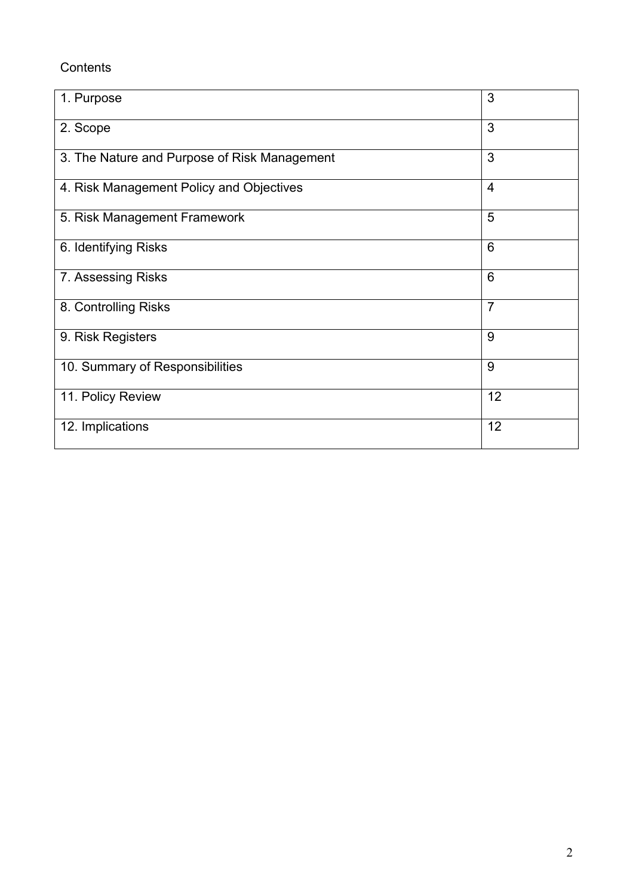## **Contents**

| 1. Purpose                                   | 3              |
|----------------------------------------------|----------------|
| 2. Scope                                     | 3              |
| 3. The Nature and Purpose of Risk Management | 3              |
| 4. Risk Management Policy and Objectives     | $\overline{4}$ |
| 5. Risk Management Framework                 | 5              |
| 6. Identifying Risks                         | 6              |
| 7. Assessing Risks                           | 6              |
| 8. Controlling Risks                         | $\overline{7}$ |
| 9. Risk Registers                            | 9              |
| 10. Summary of Responsibilities              | 9              |
| 11. Policy Review                            | 12             |
| 12. Implications                             | 12             |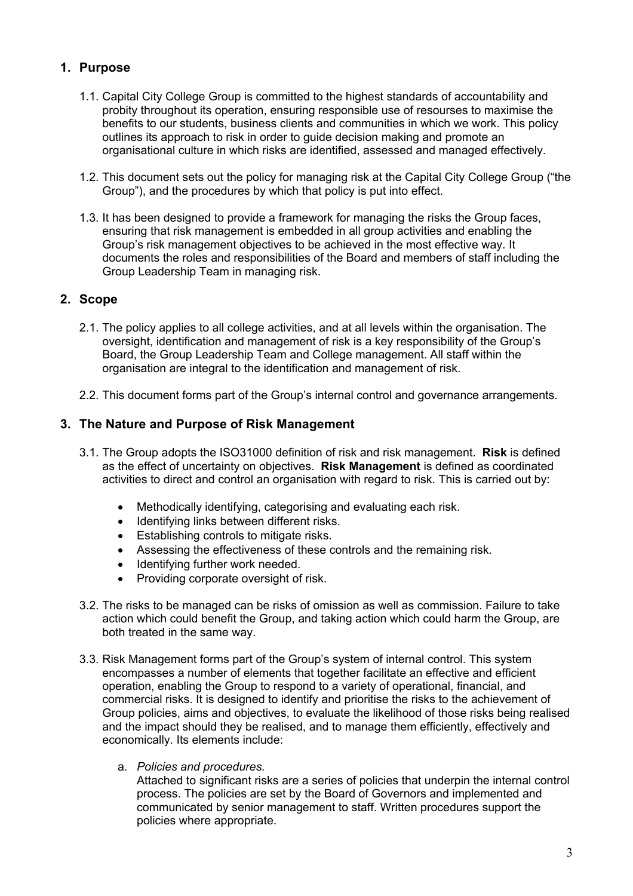## **1. Purpose**

- 1.1. Capital City College Group is committed to the highest standards of accountability and probity throughout its operation, ensuring responsible use of resourses to maximise the benefits to our students, business clients and communities in which we work. This policy outlines its approach to risk in order to guide decision making and promote an organisational culture in which risks are identified, assessed and managed effectively.
- 1.2. This document sets out the policy for managing risk at the Capital City College Group ("the Group"), and the procedures by which that policy is put into effect.
- 1.3. It has been designed to provide a framework for managing the risks the Group faces, ensuring that risk management is embedded in all group activities and enabling the Group's risk management objectives to be achieved in the most effective way. It documents the roles and responsibilities of the Board and members of staff including the Group Leadership Team in managing risk.

## **2. Scope**

- 2.1. The policy applies to all college activities, and at all levels within the organisation. The oversight, identification and management of risk is a key responsibility of the Group's Board, the Group Leadership Team and College management. All staff within the organisation are integral to the identification and management of risk.
- 2.2. This document forms part of the Group's internal control and governance arrangements.

## **3. The Nature and Purpose of Risk Management**

- 3.1. The Group adopts the ISO31000 definition of risk and risk management. **Risk** is defined as the effect of uncertainty on objectives. **Risk Management** is defined as coordinated activities to direct and control an organisation with regard to risk. This is carried out by:
	- Methodically identifying, categorising and evaluating each risk.
	- Identifying links between different risks.
	- Establishing controls to mitigate risks.
	- Assessing the effectiveness of these controls and the remaining risk.
	- Identifying further work needed.
	- Providing corporate oversight of risk.
- 3.2. The risks to be managed can be risks of omission as well as commission. Failure to take action which could benefit the Group, and taking action which could harm the Group, are both treated in the same way.
- 3.3. Risk Management forms part of the Group's system of internal control. This system encompasses a number of elements that together facilitate an effective and efficient operation, enabling the Group to respond to a variety of operational, financial, and commercial risks. It is designed to identify and prioritise the risks to the achievement of Group policies, aims and objectives, to evaluate the likelihood of those risks being realised and the impact should they be realised, and to manage them efficiently, effectively and economically. Its elements include:
	- a. *Policies and procedures.*

Attached to significant risks are a series of policies that underpin the internal control process. The policies are set by the Board of Governors and implemented and communicated by senior management to staff. Written procedures support the policies where appropriate.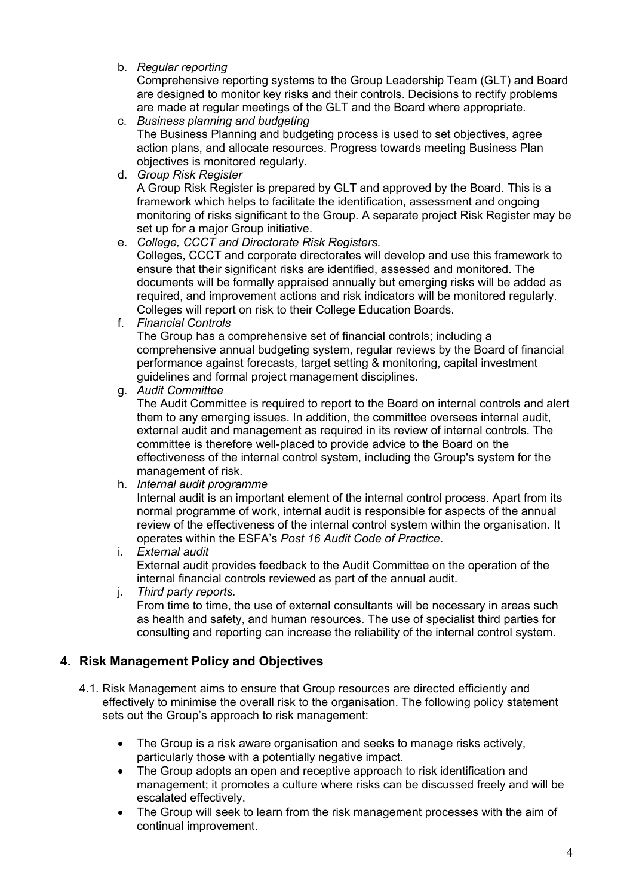b. *Regular reporting* 

Comprehensive reporting systems to the Group Leadership Team (GLT) and Board are designed to monitor key risks and their controls. Decisions to rectify problems are made at regular meetings of the GLT and the Board where appropriate.

- c. *Business planning and budgeting* The Business Planning and budgeting process is used to set objectives, agree action plans, and allocate resources. Progress towards meeting Business Plan objectives is monitored regularly.
- d. *Group Risk Register*

A Group Risk Register is prepared by GLT and approved by the Board. This is a framework which helps to facilitate the identification, assessment and ongoing monitoring of risks significant to the Group. A separate project Risk Register may be set up for a major Group initiative.

e. *College, CCCT and Directorate Risk Registers.* 

Colleges, CCCT and corporate directorates will develop and use this framework to ensure that their significant risks are identified, assessed and monitored. The documents will be formally appraised annually but emerging risks will be added as required, and improvement actions and risk indicators will be monitored regularly. Colleges will report on risk to their College Education Boards.

f. *Financial Controls*

The Group has a comprehensive set of financial controls; including a comprehensive annual budgeting system, regular reviews by the Board of financial performance against forecasts, target setting & monitoring, capital investment guidelines and formal project management disciplines.

g. *Audit Committee* 

The Audit Committee is required to report to the Board on internal controls and alert them to any emerging issues. In addition, the committee oversees internal audit, external audit and management as required in its review of internal controls. The committee is therefore well-placed to provide advice to the Board on the effectiveness of the internal control system, including the Group's system for the management of risk.

h. *Internal audit programme* 

Internal audit is an important element of the internal control process. Apart from its normal programme of work, internal audit is responsible for aspects of the annual review of the effectiveness of the internal control system within the organisation. It operates within the ESFA's *Post 16 Audit Code of Practice*.

- i. *External audit* External audit provides feedback to the Audit Committee on the operation of the internal financial controls reviewed as part of the annual audit.
- j. *Third party reports.*

From time to time, the use of external consultants will be necessary in areas such as health and safety, and human resources. The use of specialist third parties for consulting and reporting can increase the reliability of the internal control system.

## **4. Risk Management Policy and Objectives**

- 4.1. Risk Management aims to ensure that Group resources are directed efficiently and effectively to minimise the overall risk to the organisation. The following policy statement sets out the Group's approach to risk management:
	- The Group is a risk aware organisation and seeks to manage risks actively, particularly those with a potentially negative impact.
	- The Group adopts an open and receptive approach to risk identification and management; it promotes a culture where risks can be discussed freely and will be escalated effectively.
	- The Group will seek to learn from the risk management processes with the aim of continual improvement.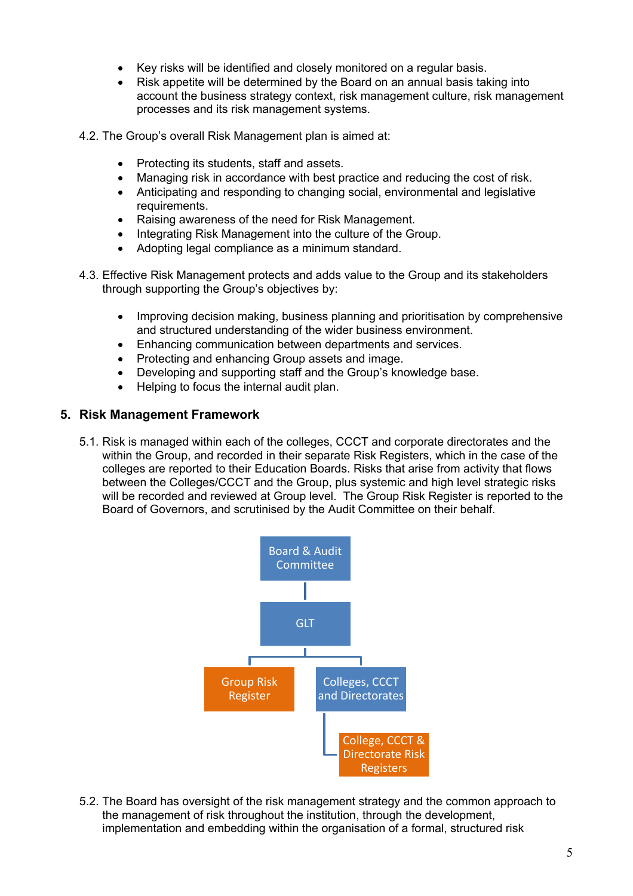- Key risks will be identified and closely monitored on a regular basis.
- Risk appetite will be determined by the Board on an annual basis taking into account the business strategy context, risk management culture, risk management processes and its risk management systems.
- 4.2. The Group's overall Risk Management plan is aimed at:
	- Protecting its students, staff and assets.
	- Managing risk in accordance with best practice and reducing the cost of risk.
	- Anticipating and responding to changing social, environmental and legislative requirements.
	- Raising awareness of the need for Risk Management.
	- Integrating Risk Management into the culture of the Group.
	- Adopting legal compliance as a minimum standard.
- 4.3. Effective Risk Management protects and adds value to the Group and its stakeholders through supporting the Group's objectives by:
	- Improving decision making, business planning and prioritisation by comprehensive and structured understanding of the wider business environment.
	- Enhancing communication between departments and services.
	- Protecting and enhancing Group assets and image.
	- Developing and supporting staff and the Group's knowledge base.
	- Helping to focus the internal audit plan.

#### **5. Risk Management Framework**

5.1. Risk is managed within each of the colleges, CCCT and corporate directorates and the within the Group, and recorded in their separate Risk Registers, which in the case of the colleges are reported to their Education Boards. Risks that arise from activity that flows between the Colleges/CCCT and the Group, plus systemic and high level strategic risks will be recorded and reviewed at Group level. The Group Risk Register is reported to the Board of Governors, and scrutinised by the Audit Committee on their behalf.



5.2. The Board has oversight of the risk management strategy and the common approach to the management of risk throughout the institution, through the development, implementation and embedding within the organisation of a formal, structured risk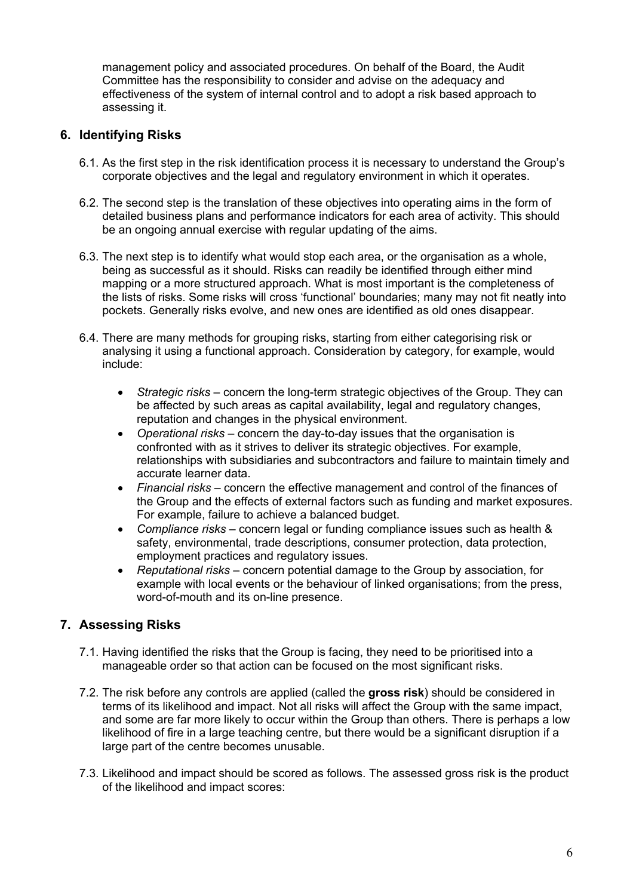management policy and associated procedures. On behalf of the Board, the Audit Committee has the responsibility to consider and advise on the adequacy and effectiveness of the system of internal control and to adopt a risk based approach to assessing it.

## **6. Identifying Risks**

- 6.1. As the first step in the risk identification process it is necessary to understand the Group's corporate objectives and the legal and regulatory environment in which it operates.
- 6.2. The second step is the translation of these objectives into operating aims in the form of detailed business plans and performance indicators for each area of activity. This should be an ongoing annual exercise with regular updating of the aims.
- 6.3. The next step is to identify what would stop each area, or the organisation as a whole, being as successful as it should. Risks can readily be identified through either mind mapping or a more structured approach. What is most important is the completeness of the lists of risks. Some risks will cross 'functional' boundaries; many may not fit neatly into pockets. Generally risks evolve, and new ones are identified as old ones disappear.
- 6.4. There are many methods for grouping risks, starting from either categorising risk or analysing it using a functional approach. Consideration by category, for example, would include:
	- *Strategic risks* concern the long-term strategic objectives of the Group. They can be affected by such areas as capital availability, legal and regulatory changes, reputation and changes in the physical environment.
	- *Operational risks* concern the day-to-day issues that the organisation is confronted with as it strives to deliver its strategic objectives. For example, relationships with subsidiaries and subcontractors and failure to maintain timely and accurate learner data.
	- *Financial risks* concern the effective management and control of the finances of the Group and the effects of external factors such as funding and market exposures. For example, failure to achieve a balanced budget.
	- *Compliance risks* concern legal or funding compliance issues such as health & safety, environmental, trade descriptions, consumer protection, data protection, employment practices and regulatory issues.
	- *Reputational risks*  concern potential damage to the Group by association, for example with local events or the behaviour of linked organisations; from the press, word-of-mouth and its on-line presence.

## **7. Assessing Risks**

- 7.1. Having identified the risks that the Group is facing, they need to be prioritised into a manageable order so that action can be focused on the most significant risks.
- 7.2. The risk before any controls are applied (called the **gross risk**) should be considered in terms of its likelihood and impact. Not all risks will affect the Group with the same impact, and some are far more likely to occur within the Group than others. There is perhaps a low likelihood of fire in a large teaching centre, but there would be a significant disruption if a large part of the centre becomes unusable.
- 7.3. Likelihood and impact should be scored as follows. The assessed gross risk is the product of the likelihood and impact scores: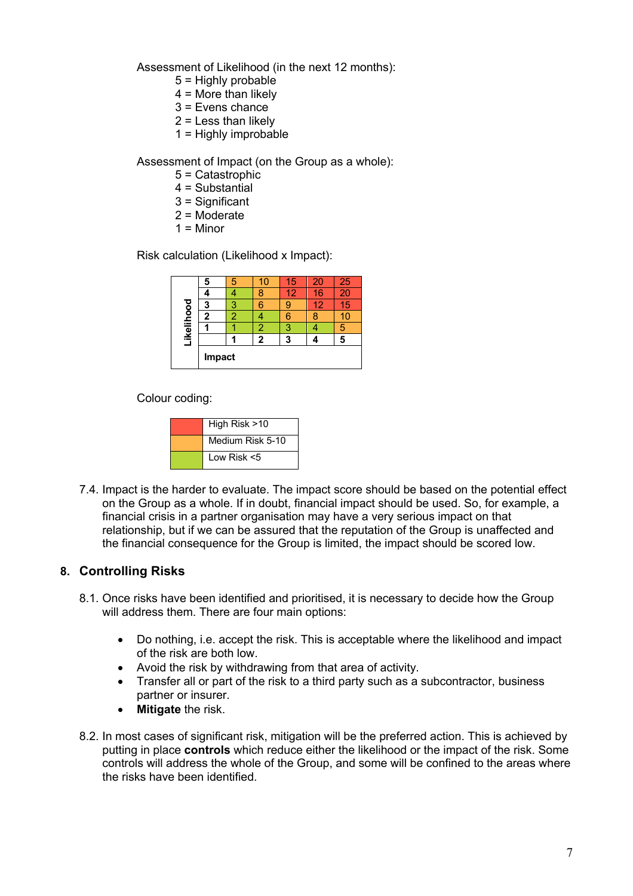Assessment of Likelihood (in the next 12 months):

- 5 = Highly probable
- $4 =$  More than likely
- 3 = Evens chance
- $2 =$  Less than likely
- 1 = Highly improbable

Assessment of Impact (on the Group as a whole):

- 5 = Catastrophic
- 4 = Substantial
- 3 = Significant
- 2 = Moderate
- $1 =$ Minor

Risk calculation (Likelihood x Impact):

|            | 5      | 5 |   | 15 | 20 | 25 |
|------------|--------|---|---|----|----|----|
|            |        |   |   | 12 | 16 |    |
|            | 3      |   | 6 |    | 12 | 15 |
|            | 2      | ◠ |   |    |    |    |
|            |        |   | 2 | F  |    | 5  |
| Likelihood |        |   | 2 | 3  |    | 5  |
|            | Impact |   |   |    |    |    |

Colour coding:

| High Risk >10    |
|------------------|
| Medium Risk 5-10 |
| Low Risk <5      |

7.4. Impact is the harder to evaluate. The impact score should be based on the potential effect on the Group as a whole. If in doubt, financial impact should be used. So, for example, a financial crisis in a partner organisation may have a very serious impact on that relationship, but if we can be assured that the reputation of the Group is unaffected and the financial consequence for the Group is limited, the impact should be scored low.

## **8. Controlling Risks**

- 8.1. Once risks have been identified and prioritised, it is necessary to decide how the Group will address them. There are four main options:
	- Do nothing, i.e. accept the risk. This is acceptable where the likelihood and impact of the risk are both low.
	- Avoid the risk by withdrawing from that area of activity.
	- Transfer all or part of the risk to a third party such as a subcontractor, business partner or insurer.
	- **Mitigate** the risk.
- 8.2. In most cases of significant risk, mitigation will be the preferred action. This is achieved by putting in place **controls** which reduce either the likelihood or the impact of the risk. Some controls will address the whole of the Group, and some will be confined to the areas where the risks have been identified.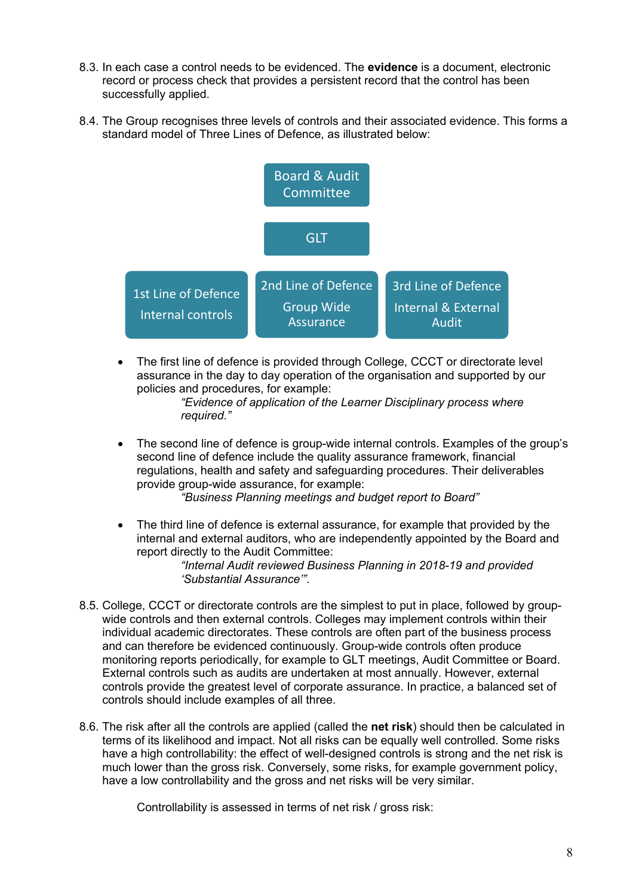- 8.3. In each case a control needs to be evidenced. The **evidence** is a document, electronic record or process check that provides a persistent record that the control has been successfully applied.
- 8.4. The Group recognises three levels of controls and their associated evidence. This forms a standard model of Three Lines of Defence, as illustrated below:



The first line of defence is provided through College, CCCT or directorate level assurance in the day to day operation of the organisation and supported by our policies and procedures, for example:

*"Evidence of application of the Learner Disciplinary process where required."*

• The second line of defence is group-wide internal controls. Examples of the group's second line of defence include the quality assurance framework, financial regulations, health and safety and safeguarding procedures. Their deliverables provide group-wide assurance, for example: *"Business Planning meetings and budget report to Board"*

• The third line of defence is external assurance, for example that provided by the internal and external auditors, who are independently appointed by the Board and report directly to the Audit Committee:

*"Internal Audit reviewed Business Planning in 2018-19 and provided 'Substantial Assurance'"*.

- 8.5. College, CCCT or directorate controls are the simplest to put in place, followed by groupwide controls and then external controls. Colleges may implement controls within their individual academic directorates. These controls are often part of the business process and can therefore be evidenced continuously. Group-wide controls often produce monitoring reports periodically, for example to GLT meetings, Audit Committee or Board. External controls such as audits are undertaken at most annually. However, external controls provide the greatest level of corporate assurance. In practice, a balanced set of controls should include examples of all three.
- 8.6. The risk after all the controls are applied (called the **net risk**) should then be calculated in terms of its likelihood and impact. Not all risks can be equally well controlled. Some risks have a high controllability: the effect of well-designed controls is strong and the net risk is much lower than the gross risk. Conversely, some risks, for example government policy, have a low controllability and the gross and net risks will be very similar.

Controllability is assessed in terms of net risk / gross risk: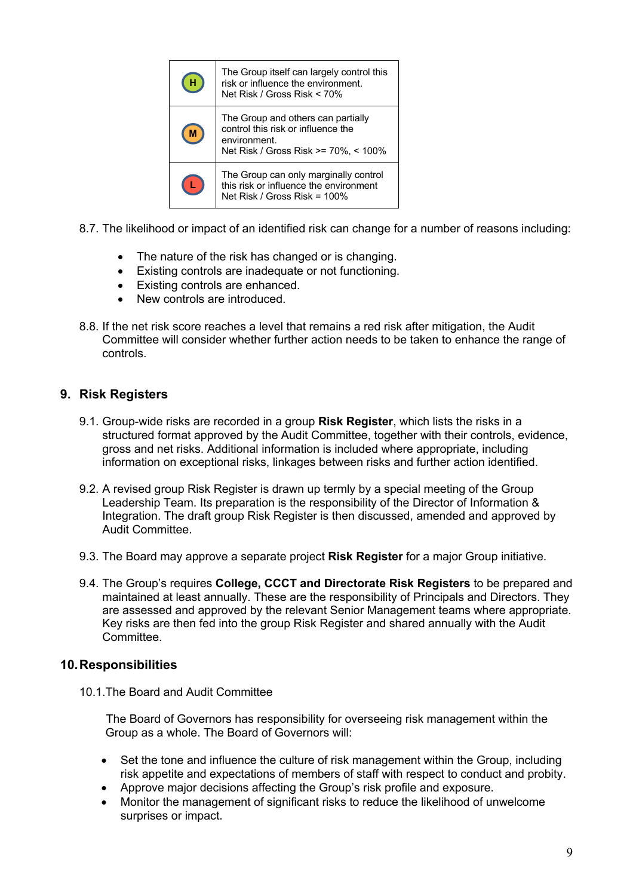| The Group itself can largely control this<br>risk or influence the environment.<br>Net Risk / Gross Risk < 70%                   |
|----------------------------------------------------------------------------------------------------------------------------------|
| The Group and others can partially<br>control this risk or influence the<br>environment.<br>Net Risk / Gross Risk >= 70%, < 100% |
| The Group can only marginally control<br>this risk or influence the environment<br>Net Risk / Gross Risk = 100%                  |

- 8.7. The likelihood or impact of an identified risk can change for a number of reasons including:
	- The nature of the risk has changed or is changing.
	- Existing controls are inadequate or not functioning.
	- Existing controls are enhanced.
	- New controls are introduced
- 8.8. If the net risk score reaches a level that remains a red risk after mitigation, the Audit Committee will consider whether further action needs to be taken to enhance the range of controls.

## **9. Risk Registers**

- 9.1. Group-wide risks are recorded in a group **Risk Register**, which lists the risks in a structured format approved by the Audit Committee, together with their controls, evidence, gross and net risks. Additional information is included where appropriate, including information on exceptional risks, linkages between risks and further action identified.
- 9.2. A revised group Risk Register is drawn up termly by a special meeting of the Group Leadership Team. Its preparation is the responsibility of the Director of Information & Integration. The draft group Risk Register is then discussed, amended and approved by Audit Committee.
- 9.3. The Board may approve a separate project **Risk Register** for a major Group initiative.
- 9.4. The Group's requires **College, CCCT and Directorate Risk Registers** to be prepared and maintained at least annually. These are the responsibility of Principals and Directors. They are assessed and approved by the relevant Senior Management teams where appropriate. Key risks are then fed into the group Risk Register and shared annually with the Audit Committee.

## **10.Responsibilities**

10.1.The Board and Audit Committee

The Board of Governors has responsibility for overseeing risk management within the Group as a whole. The Board of Governors will:

- Set the tone and influence the culture of risk management within the Group, including risk appetite and expectations of members of staff with respect to conduct and probity.
- Approve major decisions affecting the Group's risk profile and exposure.
- Monitor the management of significant risks to reduce the likelihood of unwelcome surprises or impact.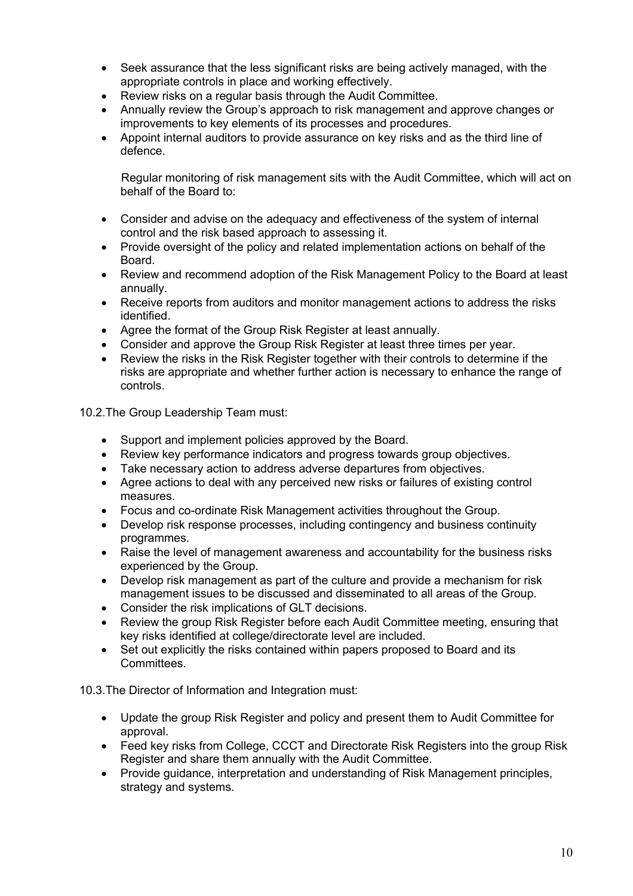- Seek assurance that the less significant risks are being actively managed, with the appropriate controls in place and working effectively.
- Review risks on a regular basis through the Audit Committee.
- Annually review the Group's approach to risk management and approve changes or improvements to key elements of its processes and procedures.
- Appoint internal auditors to provide assurance on key risks and as the third line of defence.

Regular monitoring of risk management sits with the Audit Committee, which will act on behalf of the Board to:

- Consider and advise on the adequacy and effectiveness of the system of internal control and the risk based approach to assessing it.
- Provide oversight of the policy and related implementation actions on behalf of the Board.
- Review and recommend adoption of the Risk Management Policy to the Board at least annually.
- Receive reports from auditors and monitor management actions to address the risks identified.
- Agree the format of the Group Risk Register at least annually.
- Consider and approve the Group Risk Register at least three times per year.
- Review the risks in the Risk Register together with their controls to determine if the risks are appropriate and whether further action is necessary to enhance the range of controls.

10.2.The Group Leadership Team must:

- Support and implement policies approved by the Board.
- Review key performance indicators and progress towards group objectives.
- Take necessary action to address adverse departures from objectives.
- Agree actions to deal with any perceived new risks or failures of existing control measures.
- Focus and co-ordinate Risk Management activities throughout the Group.
- Develop risk response processes, including contingency and business continuity programmes.
- Raise the level of management awareness and accountability for the business risks experienced by the Group.
- Develop risk management as part of the culture and provide a mechanism for risk management issues to be discussed and disseminated to all areas of the Group.
- Consider the risk implications of GLT decisions.
- Review the group Risk Register before each Audit Committee meeting, ensuring that key risks identified at college/directorate level are included.
- Set out explicitly the risks contained within papers proposed to Board and its **Committees**

10.3.The Director of Information and Integration must:

- Update the group Risk Register and policy and present them to Audit Committee for approval.
- Feed key risks from College, CCCT and Directorate Risk Registers into the group Risk Register and share them annually with the Audit Committee.
- Provide guidance, interpretation and understanding of Risk Management principles, strategy and systems.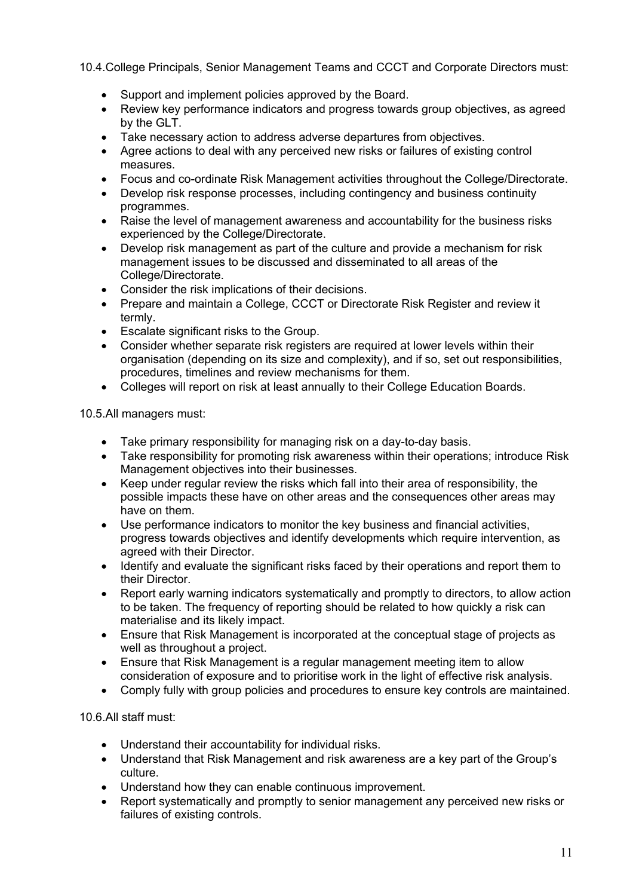10.4.College Principals, Senior Management Teams and CCCT and Corporate Directors must:

- Support and implement policies approved by the Board.
- Review key performance indicators and progress towards group objectives, as agreed by the GLT.
- Take necessary action to address adverse departures from objectives.
- Agree actions to deal with any perceived new risks or failures of existing control measures.
- Focus and co-ordinate Risk Management activities throughout the College/Directorate.
- Develop risk response processes, including contingency and business continuity programmes.
- Raise the level of management awareness and accountability for the business risks experienced by the College/Directorate.
- Develop risk management as part of the culture and provide a mechanism for risk management issues to be discussed and disseminated to all areas of the College/Directorate.
- Consider the risk implications of their decisions.
- Prepare and maintain a College, CCCT or Directorate Risk Register and review it termly.
- Escalate significant risks to the Group.
- Consider whether separate risk registers are required at lower levels within their organisation (depending on its size and complexity), and if so, set out responsibilities, procedures, timelines and review mechanisms for them.
- Colleges will report on risk at least annually to their College Education Boards.

10.5.All managers must:

- Take primary responsibility for managing risk on a day-to-day basis.
- Take responsibility for promoting risk awareness within their operations; introduce Risk Management objectives into their businesses.
- Keep under regular review the risks which fall into their area of responsibility, the possible impacts these have on other areas and the consequences other areas may have on them.
- Use performance indicators to monitor the key business and financial activities, progress towards objectives and identify developments which require intervention, as agreed with their Director.
- Identify and evaluate the significant risks faced by their operations and report them to their Director.
- Report early warning indicators systematically and promptly to directors, to allow action to be taken. The frequency of reporting should be related to how quickly a risk can materialise and its likely impact.
- Ensure that Risk Management is incorporated at the conceptual stage of projects as well as throughout a project.
- Ensure that Risk Management is a regular management meeting item to allow consideration of exposure and to prioritise work in the light of effective risk analysis.
- Comply fully with group policies and procedures to ensure key controls are maintained.

10.6.All staff must:

- Understand their accountability for individual risks.
- Understand that Risk Management and risk awareness are a key part of the Group's culture.
- Understand how they can enable continuous improvement.
- Report systematically and promptly to senior management any perceived new risks or failures of existing controls.